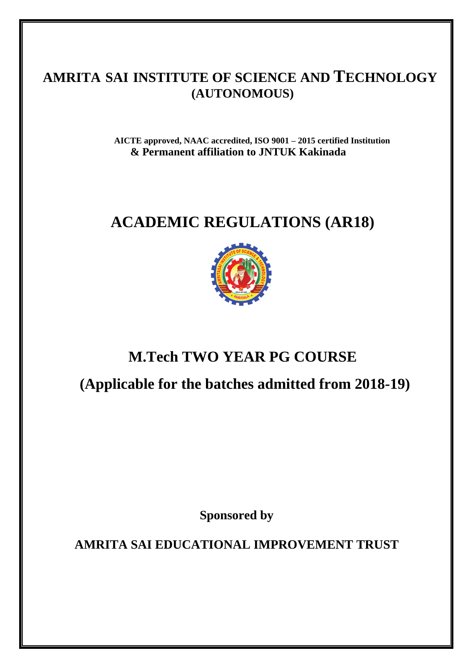## **AMRITA SAI INSTITUTE OF SCIENCE AND TECHNOLOGY (AUTONOMOUS)**

**AICTE approved, NAAC accredited, ISO 9001 – 2015 certified Institution & Permanent affiliation to JNTUK Kakinada**

# **ACADEMIC REGULATIONS (AR18)**



## **M.Tech TWO YEAR PG COURSE**

 **(Applicable for the batches admitted from 2018-19)**

**Sponsored by**

**AMRITA SAI EDUCATIONAL IMPROVEMENT TRUST**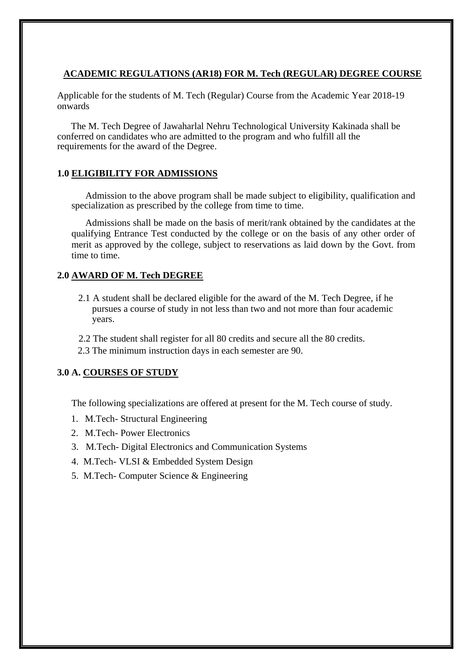### **ACADEMIC REGULATIONS (AR18) FOR M. Tech (REGULAR) DEGREE COURSE**

Applicable for the students of M. Tech (Regular) Course from the Academic Year 2018-19 onwards

The M. Tech Degree of Jawaharlal Nehru Technological University Kakinada shall be conferred on candidates who are admitted to the program and who fulfill all the requirements for the award of the Degree.

### **1.0 ELIGIBILITY FOR ADMISSIONS**

Admission to the above program shall be made subject to eligibility, qualification and specialization as prescribed by the college from time to time.

Admissions shall be made on the basis of merit/rank obtained by the candidates at the qualifying Entrance Test conducted by the college or on the basis of any other order of merit as approved by the college, subject to reservations as laid down by the Govt. from time to time.

### **2.0 AWARD OF M. Tech DEGREE**

- 2.1 A student shall be declared eligible for the award of the M. Tech Degree, if he pursues a course of study in not less than two and not more than four academic years.
- 2.2 The student shall register for all 80 credits and secure all the 80 credits.
- 2.3 The minimum instruction days in each semester are 90.

## **3.0 A. COURSES OF STUDY**

The following specializations are offered at present for the M. Tech course of study.

- 1. M.Tech- Structural Engineering
- 2. M.Tech- Power Electronics
- 3. M.Tech- Digital Electronics and Communication Systems
- 4. M.Tech- VLSI & Embedded System Design
- 5. M.Tech- Computer Science & Engineering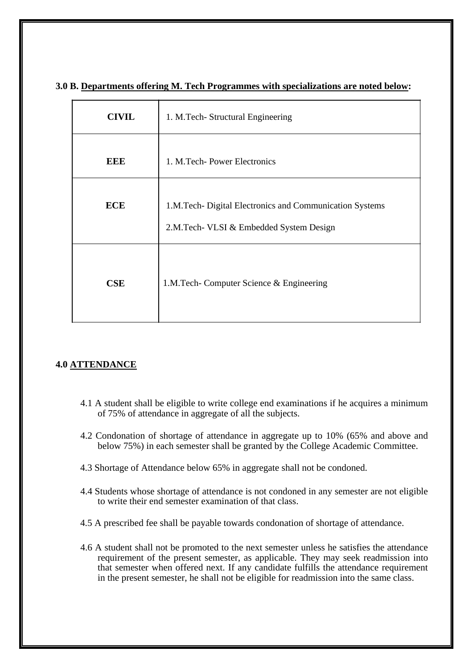| <b>CIVIL</b> | 1. M.Tech- Structural Engineering                                                                  |  |  |
|--------------|----------------------------------------------------------------------------------------------------|--|--|
| EEE          | 1. M. Tech-Power Electronics                                                                       |  |  |
| <b>ECE</b>   | 1.M.Tech- Digital Electronics and Communication Systems<br>2.M.Tech- VLSI & Embedded System Design |  |  |
| <b>CSE</b>   | 1.M.Tech- Computer Science & Engineering                                                           |  |  |

## **3.0 B. Departments offering M. Tech Programmes with specializations are noted below:**

## **4.0 ATTENDANCE**

- 4.1 A student shall be eligible to write college end examinations if he acquires a minimum of 75% of attendance in aggregate of all the subjects.
- 4.2 Condonation of shortage of attendance in aggregate up to 10% (65% and above and below 75%) in each semester shall be granted by the College Academic Committee.
- 4.3 Shortage of Attendance below 65% in aggregate shall not be condoned.
- 4.4 Students whose shortage of attendance is not condoned in any semester are not eligible to write their end semester examination of that class.
- 4.5 A prescribed fee shall be payable towards condonation of shortage of attendance.
- 4.6 A student shall not be promoted to the next semester unless he satisfies the attendance requirement of the present semester, as applicable. They may seek readmission into that semester when offered next. If any candidate fulfills the attendance requirement in the present semester, he shall not be eligible for readmission into the same class.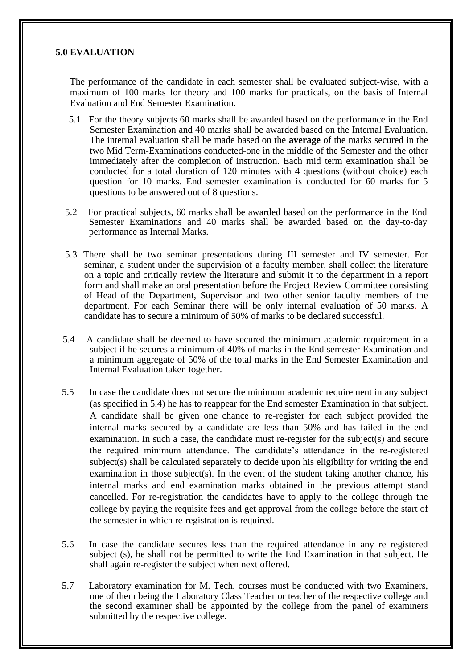### **5.0 EVALUATION**

The performance of the candidate in each semester shall be evaluated subject-wise, with a maximum of 100 marks for theory and 100 marks for practicals, on the basis of Internal Evaluation and End Semester Examination.

- 5.1 For the theory subjects 60 marks shall be awarded based on the performance in the End Semester Examination and 40 marks shall be awarded based on the Internal Evaluation. The internal evaluation shall be made based on the **average** of the marks secured in the two Mid Term-Examinations conducted-one in the middle of the Semester and the other immediately after the completion of instruction. Each mid term examination shall be conducted for a total duration of 120 minutes with 4 questions (without choice) each question for 10 marks. End semester examination is conducted for 60 marks for 5 questions to be answered out of 8 questions.
- 5.2 For practical subjects, 60 marks shall be awarded based on the performance in the End Semester Examinations and 40 marks shall be awarded based on the day-to-day performance as Internal Marks.
- 5.3 There shall be two seminar presentations during III semester and IV semester. For seminar, a student under the supervision of a faculty member, shall collect the literature on a topic and critically review the literature and submit it to the department in a report form and shall make an oral presentation before the Project Review Committee consisting of Head of the Department, Supervisor and two other senior faculty members of the department. For each Seminar there will be only internal evaluation of 50 marks. A candidate has to secure a minimum of 50% of marks to be declared successful.
- 5.4 A candidate shall be deemed to have secured the minimum academic requirement in a subject if he secures a minimum of 40% of marks in the End semester Examination and a minimum aggregate of 50% of the total marks in the End Semester Examination and Internal Evaluation taken together.
- 5.5 In case the candidate does not secure the minimum academic requirement in any subject (as specified in 5.4) he has to reappear for the End semester Examination in that subject. A candidate shall be given one chance to re-register for each subject provided the internal marks secured by a candidate are less than 50% and has failed in the end examination. In such a case, the candidate must re-register for the subject(s) and secure the required minimum attendance. The candidate's attendance in the re-registered subject(s) shall be calculated separately to decide upon his eligibility for writing the end examination in those subject(s). In the event of the student taking another chance, his internal marks and end examination marks obtained in the previous attempt stand cancelled. For re-registration the candidates have to apply to the college through the college by paying the requisite fees and get approval from the college before the start of the semester in which re-registration is required.
- 5.6 In case the candidate secures less than the required attendance in any re registered subject (s), he shall not be permitted to write the End Examination in that subject. He shall again re-register the subject when next offered.
- 5.7 Laboratory examination for M. Tech. courses must be conducted with two Examiners, one of them being the Laboratory Class Teacher or teacher of the respective college and the second examiner shall be appointed by the college from the panel of examiners submitted by the respective college.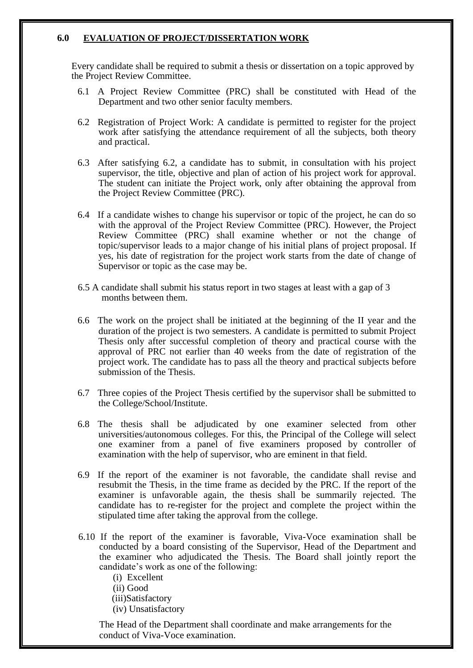## **6.0 EVALUATION OF PROJECT/DISSERTATION WORK**

Every candidate shall be required to submit a thesis or dissertation on a topic approved by the Project Review Committee.

- 6.1 A Project Review Committee (PRC) shall be constituted with Head of the Department and two other senior faculty members.
- 6.2 Registration of Project Work: A candidate is permitted to register for the project work after satisfying the attendance requirement of all the subjects, both theory and practical.
- 6.3 After satisfying 6.2, a candidate has to submit, in consultation with his project supervisor, the title, objective and plan of action of his project work for approval. The student can initiate the Project work, only after obtaining the approval from the Project Review Committee (PRC).
- 6.4 If a candidate wishes to change his supervisor or topic of the project, he can do so with the approval of the Project Review Committee (PRC). However, the Project Review Committee (PRC) shall examine whether or not the change of topic/supervisor leads to a major change of his initial plans of project proposal. If yes, his date of registration for the project work starts from the date of change of Supervisor or topic as the case may be.
- 6.5 A candidate shall submit his status report in two stages at least with a gap of 3 months between them.
- 6.6 The work on the project shall be initiated at the beginning of the II year and the duration of the project is two semesters. A candidate is permitted to submit Project Thesis only after successful completion of theory and practical course with the approval of PRC not earlier than 40 weeks from the date of registration of the project work. The candidate has to pass all the theory and practical subjects before submission of the Thesis.
- 6.7 Three copies of the Project Thesis certified by the supervisor shall be submitted to the College/School/Institute.
- 6.8 The thesis shall be adjudicated by one examiner selected from other universities/autonomous colleges. For this, the Principal of the College will select one examiner from a panel of five examiners proposed by controller of examination with the help of supervisor, who are eminent in that field.
- 6.9 If the report of the examiner is not favorable, the candidate shall revise and resubmit the Thesis, in the time frame as decided by the PRC. If the report of the examiner is unfavorable again, the thesis shall be summarily rejected. The candidate has to re-register for the project and complete the project within the stipulated time after taking the approval from the college.
- 6.10 If the report of the examiner is favorable, Viva-Voce examination shall be conducted by a board consisting of the Supervisor, Head of the Department and the examiner who adjudicated the Thesis. The Board shall jointly report the candidate's work as one of the following:

(i) Excellent (ii) Good (iii)Satisfactory (iv) Unsatisfactory

The Head of the Department shall coordinate and make arrangements for the conduct of Viva-Voce examination.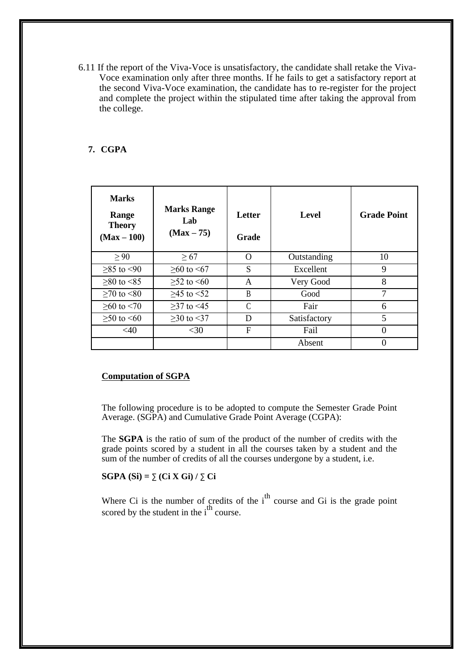6.11 If the report of the Viva-Voce is unsatisfactory, the candidate shall retake the Viva-Voce examination only after three months. If he fails to get a satisfactory report at the second Viva-Voce examination, the candidate has to re-register for the project and complete the project within the stipulated time after taking the approval from the college.

#### **7. CGPA**

| <b>Marks</b><br>Range<br><b>Theory</b><br>$(Max-100)$ | <b>Marks Range</b><br>Lab<br>$(Max - 75)$ | Letter<br>Grade | <b>Level</b> | <b>Grade Point</b> |
|-------------------------------------------------------|-------------------------------------------|-----------------|--------------|--------------------|
| > 90                                                  | $\geq 67$                                 | $\Omega$        | Outstanding  | 10                 |
| $≥85$ to <90                                          | $>60$ to $<67$                            | S               | Excellent    | 9                  |
| $>80$ to $< 85$                                       | $>52$ to $< 60$                           | A               | Very Good    | 8                  |
| $>70$ to $< 80$                                       | $>45$ to $<52$                            | B               | Good         | 7                  |
| $>60$ to $< 70$                                       | $>37$ to $<45$                            | C               | Fair         | 6                  |
| $≥ 50$ to $≤ 60$                                      | $>30$ to $<37$                            | D               | Satisfactory | 5                  |
| $<$ 40                                                | $<$ 30                                    | F               | Fail         | 0                  |
|                                                       |                                           |                 | Absent       |                    |

#### **Computation of SGPA**

The following procedure is to be adopted to compute the Semester Grade Point Average. (SGPA) and Cumulative Grade Point Average (CGPA):

The **SGPA** is the ratio of sum of the product of the number of credits with the grade points scored by a student in all the courses taken by a student and the sum of the number of credits of all the courses undergone by a student, i.e.

### **SGPA (Si) =** ∑ **(Ci X Gi) /** ∑ **Ci**

Where Ci is the number of credits of the  $i<sup>th</sup>$  course and Gi is the grade point scored by the student in the  $i<sup>th</sup>$  course.